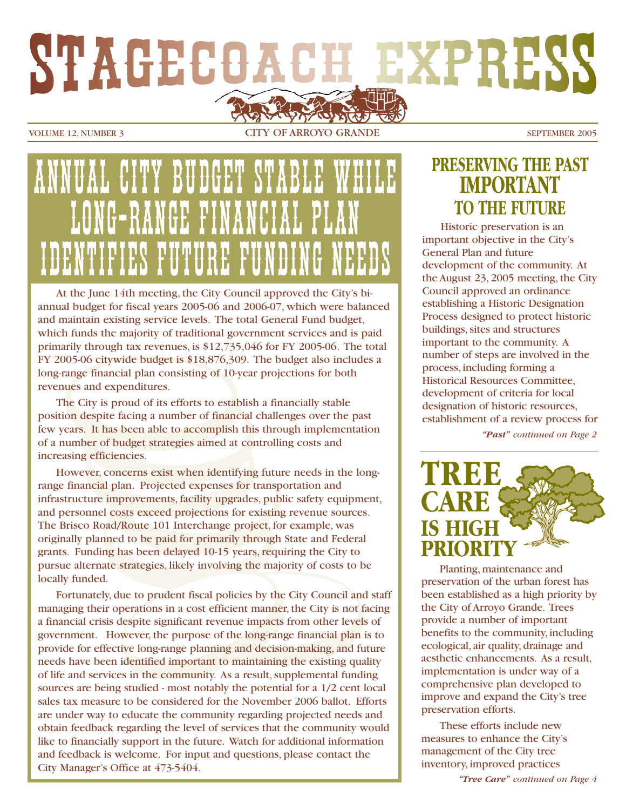# **EXPRESS** STAGECOACH

VOLUME 12, NUMBER 3 CITY OF ARROYO GRANDE SEPTEMBER 2005

# ANNUAL CITY BUDGET STABLE WHILE LONG-RANGE FINANCIAL PLAN IDENTIFIES FUURING TEATHER

At the June 14th meeting, the City Council approved the City's biannual budget for fiscal years 2005-06 and 2006-07, which were balanced and maintain existing service levels. The total General Fund budget, which funds the majority of traditional government services and is paid primarily through tax revenues, is \$12,735,046 for FY 2005-06. The total FY 2005-06 citywide budget is \$18,876,309. The budget also includes a long-range financial plan consisting of 10-year projections for both revenues and expenditures.

The City is proud of its efforts to establish a financially stable position despite facing a number of financial challenges over the past few years. It has been able to accomplish this through implementation of a number of budget strategies aimed at controlling costs and increasing efficiencies.

However, concerns exist when identifying future needs in the longrange financial plan. Projected expenses for transportation and infrastructure improvements, facility upgrades, public safety equipment, and personnel costs exceed projections for existing revenue sources. The Brisco Road/Route 101 Interchange project, for example, was originally planned to be paid for primarily through State and Federal grants. Funding has been delayed 10-15 years, requiring the City to pursue alternate strategies, likely involving the majority of costs to be locally funded.

Fortunately, due to prudent fiscal policies by the City Council and staff managing their operations in a cost efficient manner, the City is not facing a financial crisis despite significant revenue impacts from other levels of government. However, the purpose of the long-range financial plan is to provide for effective long-range planning and decision-making, and future needs have been identified important to maintaining the existing quality of life and services in the community. As a result, supplemental funding sources are being studied - most notably the potential for a 1/2 cent local sales tax measure to be considered for the November 2006 ballot. Efforts are under way to educate the community regarding projected needs and obtain feedback regarding the level of services that the community would like to financially support in the future. Watch for additional information and feedback is welcome. For input and questions, please contact the City Manager's Office at 473-5404.

### **PRESERVING THE PAST IMPORTANT TO THE FUTURE**

Historic preservation is an important objective in the City's General Plan and future development of the community. At the August 23, 2005 meeting, the City Council approved an ordinance establishing a Historic Designation Process designed to protect historic buildings, sites and structures important to the community. A number of steps are involved in the process, including forming a Historical Resources Committee, development of criteria for local designation of historic resources, establishment of a review process for

*"Past" continued on Page 2*



Planting, maintenance and preservation of the urban forest has been established as a high priority by the City of Arroyo Grande. Trees provide a number of important benefits to the community, including ecological, air quality, drainage and aesthetic enhancements. As a result, implementation is under way of a comprehensive plan developed to improve and expand the City's tree preservation efforts.

These efforts include new measures to enhance the City's management of the City tree inventory, improved practices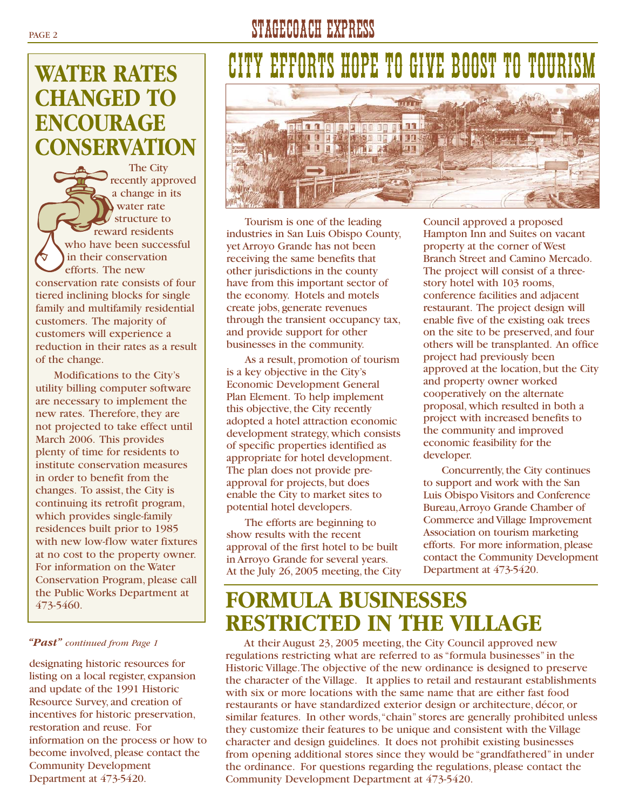# PAGE 2 STAGECOACH EXPRESS

# **WATER RATES CHANGED TO ENCOURAGE CONSERVATION**

The City recently approved a change in its water rate structure to reward residents who have been successful in their conservation efforts. The new conservation rate consists of four tiered inclining blocks for single family and multifamily residential customers. The majority of customers will experience a reduction in their rates as a result of the change.

Modifications to the City's utility billing computer software are necessary to implement the new rates. Therefore, they are not projected to take effect until March 2006. This provides plenty of time for residents to institute conservation measures in order to benefit from the changes. To assist, the City is continuing its retrofit program, which provides single-family residences built prior to 1985 with new low-flow water fixtures at no cost to the property owner. For information on the Water Conservation Program, please call the Public Works Department at

#### *"Past" continued from Page 1*

designating historic resources for listing on a local register, expansion and update of the 1991 Historic Resource Survey, and creation of incentives for historic preservation, restoration and reuse. For information on the process or how to become involved, please contact the Community Development Department at 473-5420.

# CITY EFFORTS HOPE TO GIVE BOOST TO TOURISM



Tourism is one of the leading industries in San Luis Obispo County, yet Arroyo Grande has not been receiving the same benefits that other jurisdictions in the county have from this important sector of the economy. Hotels and motels create jobs, generate revenues through the transient occupancy tax, and provide support for other businesses in the community.

As a result, promotion of tourism is a key objective in the City's Economic Development General Plan Element. To help implement this objective, the City recently adopted a hotel attraction economic development strategy, which consists of specific properties identified as appropriate for hotel development. The plan does not provide preapproval for projects, but does enable the City to market sites to potential hotel developers.

The efforts are beginning to show results with the recent approval of the first hotel to be built in Arroyo Grande for several years. At the July 26, 2005 meeting, the City Council approved a proposed Hampton Inn and Suites on vacant property at the corner of West Branch Street and Camino Mercado. The project will consist of a threestory hotel with 103 rooms, conference facilities and adjacent restaurant. The project design will enable five of the existing oak trees on the site to be preserved, and four others will be transplanted. An office project had previously been approved at the location, but the City and property owner worked cooperatively on the alternate proposal, which resulted in both a project with increased benefits to the community and improved economic feasibility for the developer.

Concurrently, the City continues to support and work with the San Luis Obispo Visitors and Conference Bureau,Arroyo Grande Chamber of Commerce and Village Improvement Association on tourism marketing efforts. For more information, please contact the Community Development Department at 473-5420.

## 473-5460. **FORMULA BUSINESSES RESTRICTED IN THE VILLAGE**

At their August 23, 2005 meeting, the City Council approved new regulations restricting what are referred to as "formula businesses" in the Historic Village.The objective of the new ordinance is designed to preserve the character of the Village. It applies to retail and restaurant establishments with six or more locations with the same name that are either fast food restaurants or have standardized exterior design or architecture, décor, or similar features. In other words,"chain" stores are generally prohibited unless they customize their features to be unique and consistent with the Village character and design guidelines. It does not prohibit existing businesses from opening additional stores since they would be "grandfathered" in under the ordinance. For questions regarding the regulations, please contact the Community Development Department at 473-5420.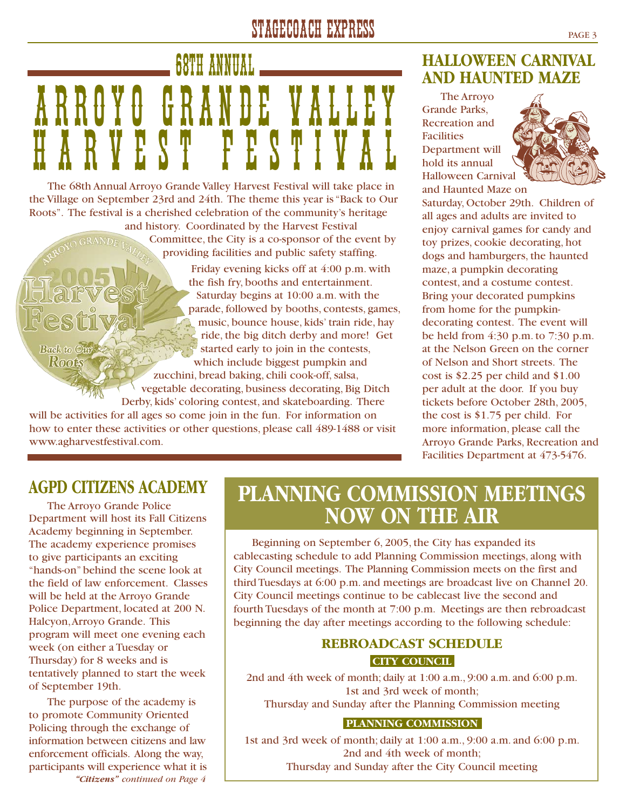# STAGECOACH EXPRESS PAGE 3

# 68TH ANNUAL ARROYO GRANDE VALLEY HARVEST FESTIVAL

The 68th Annual Arroyo Grande Valley Harvest Festival will take place in the Village on September 23rd and 24th. The theme this year is "Back to Our Roots". The festival is a cherished celebration of the community's heritage and history. Coordinated by the Harvest Festival Committee, the City is a co-sponsor of the event by providing facilities and public safety staffing. Friday evening kicks off at 4:00 p.m. with

the fish fry, booths and entertainment. Saturday begins at 10:00 a.m. with the parade, followed by booths, contests, games, music, bounce house, kids' train ride, hay ride, the big ditch derby and more! Get started early to join in the contests, which include biggest pumpkin and zucchini, bread baking, chili cook-off, salsa, vegetable decorating, business decorating, Big Ditch Derby, kids' coloring contest, and skateboarding. There will be activities for all ages so come join in the fun. For information on

how to enter these activities or other questions, please call 489-1488 or visit www.agharvestfestival.com.

### **HALLOWEEN CARNIVAL AND HAUNTED MAZE**

The Arroyo Grande Parks, Recreation and Facilities Department will hold its annual Halloween Carnival



and Haunted Maze on Saturday, October 29th. Children of all ages and adults are invited to enjoy carnival games for candy and toy prizes, cookie decorating, hot dogs and hamburgers, the haunted maze, a pumpkin decorating contest, and a costume contest. Bring your decorated pumpkins from home for the pumpkindecorating contest. The event will be held from 4:30 p.m. to 7:30 p.m. at the Nelson Green on the corner of Nelson and Short streets. The cost is \$2.25 per child and \$1.00 per adult at the door. If you buy tickets before October 28th, 2005, the cost is \$1.75 per child. For more information, please call the Arroyo Grande Parks, Recreation and Facilities Department at 473-5476.

### **AGPD CITIZENS ACADEMY**

**Back to Our** Roots

The Arroyo Grande Police Department will host its Fall Citizens Academy beginning in September. The academy experience promises to give participants an exciting "hands-on" behind the scene look at the field of law enforcement. Classes will be held at the Arroyo Grande Police Department, located at 200 N. Halcyon,Arroyo Grande. This program will meet one evening each week (on either a Tuesday or Thursday) for 8 weeks and is tentatively planned to start the week of September 19th.

The purpose of the academy is to promote Community Oriented Policing through the exchange of information between citizens and law enforcement officials. Along the way, participants will experience what it is *"Citizens" continued on Page 4*

## **PLANNING COMMISSION MEETINGS NOW ON THE AIR**

Beginning on September 6, 2005, the City has expanded its cablecasting schedule to add Planning Commission meetings, along with City Council meetings. The Planning Commission meets on the first and third Tuesdays at 6:00 p.m. and meetings are broadcast live on Channel 20. City Council meetings continue to be cablecast live the second and fourth Tuesdays of the month at 7:00 p.m. Meetings are then rebroadcast beginning the day after meetings according to the following schedule:

#### **REBROADCAST SCHEDULE CITY COUNCIL**

2nd and 4th week of month; daily at 1:00 a.m., 9:00 a.m. and 6:00 p.m. 1st and 3rd week of month;

Thursday and Sunday after the Planning Commission meeting

#### **PLANNING COMMISSION**

1st and 3rd week of month; daily at 1:00 a.m., 9:00 a.m. and 6:00 p.m. 2nd and 4th week of month; Thursday and Sunday after the City Council meeting